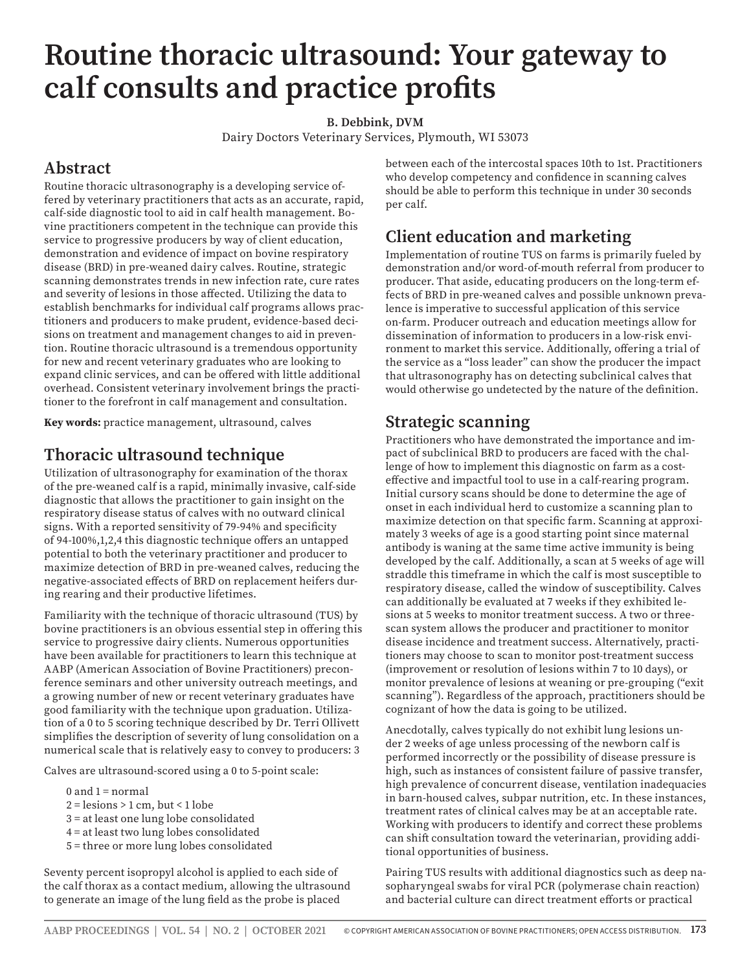# **Routine thoracic ultrasound: Your gateway to calf consults and practice profits**

**B. Debbink, DVM**

Dairy Doctors Veterinary Services, Plymouth, WI 53073

# **Abstract**

Routine thoracic ultrasonography is a developing service offered by veterinary practitioners that acts as an accurate, rapid, calf-side diagnostic tool to aid in calf health management. Bovine practitioners competent in the technique can provide this service to progressive producers by way of client education, demonstration and evidence of impact on bovine respiratory disease (BRD) in pre-weaned dairy calves. Routine, strategic scanning demonstrates trends in new infection rate, cure rates and severity of lesions in those affected. Utilizing the data to establish benchmarks for individual calf programs allows practitioners and producers to make prudent, evidence-based decisions on treatment and management changes to aid in prevention. Routine thoracic ultrasound is a tremendous opportunity for new and recent veterinary graduates who are looking to expand clinic services, and can be offered with little additional overhead. Consistent veterinary involvement brings the practitioner to the forefront in calf management and consultation.

**Key words:** practice management, ultrasound, calves

## **Thoracic ultrasound technique**

Utilization of ultrasonography for examination of the thorax of the pre-weaned calf is a rapid, minimally invasive, calf-side diagnostic that allows the practitioner to gain insight on the respiratory disease status of calves with no outward clinical signs. With a reported sensitivity of 79-94% and specificity of 94-100%,1,2,4 this diagnostic technique offers an untapped potential to both the veterinary practitioner and producer to maximize detection of BRD in pre-weaned calves, reducing the negative-associated effects of BRD on replacement heifers during rearing and their productive lifetimes.

Familiarity with the technique of thoracic ultrasound (TUS) by bovine practitioners is an obvious essential step in offering this service to progressive dairy clients. Numerous opportunities have been available for practitioners to learn this technique at AABP (American Association of Bovine Practitioners) preconference seminars and other university outreach meetings, and a growing number of new or recent veterinary graduates have good familiarity with the technique upon graduation. Utilization of a 0 to 5 scoring technique described by Dr. Terri Ollivett simplifies the description of severity of lung consolidation on a numerical scale that is relatively easy to convey to producers: 3

Calves are ultrasound-scored using a 0 to 5-point scale:

- $0$  and  $1$  = normal
- $2 =$  lesions  $> 1$  cm, but  $< 1$  lobe
- 3 = at least one lung lobe consolidated
- 4 = at least two lung lobes consolidated
- 5 = three or more lung lobes consolidated

Seventy percent isopropyl alcohol is applied to each side of the calf thorax as a contact medium, allowing the ultrasound to generate an image of the lung field as the probe is placed

between each of the intercostal spaces 10th to 1st. Practitioners who develop competency and confidence in scanning calves should be able to perform this technique in under 30 seconds per calf.

## **Client education and marketing**

Implementation of routine TUS on farms is primarily fueled by demonstration and/or word-of-mouth referral from producer to producer. That aside, educating producers on the long-term effects of BRD in pre-weaned calves and possible unknown prevalence is imperative to successful application of this service on-farm. Producer outreach and education meetings allow for dissemination of information to producers in a low-risk environment to market this service. Additionally, offering a trial of the service as a "loss leader" can show the producer the impact that ultrasonography has on detecting subclinical calves that would otherwise go undetected by the nature of the definition.

#### **Strategic scanning**

Practitioners who have demonstrated the importance and impact of subclinical BRD to producers are faced with the challenge of how to implement this diagnostic on farm as a costeffective and impactful tool to use in a calf-rearing program. Initial cursory scans should be done to determine the age of onset in each individual herd to customize a scanning plan to maximize detection on that specific farm. Scanning at approximately 3 weeks of age is a good starting point since maternal antibody is waning at the same time active immunity is being developed by the calf. Additionally, a scan at 5 weeks of age will straddle this timeframe in which the calf is most susceptible to respiratory disease, called the window of susceptibility. Calves can additionally be evaluated at 7 weeks if they exhibited lesions at 5 weeks to monitor treatment success. A two or threescan system allows the producer and practitioner to monitor disease incidence and treatment success. Alternatively, practitioners may choose to scan to monitor post-treatment success (improvement or resolution of lesions within 7 to 10 days), or monitor prevalence of lesions at weaning or pre-grouping ("exit scanning"). Regardless of the approach, practitioners should be cognizant of how the data is going to be utilized.

Anecdotally, calves typically do not exhibit lung lesions under 2 weeks of age unless processing of the newborn calf is performed incorrectly or the possibility of disease pressure is high, such as instances of consistent failure of passive transfer, high prevalence of concurrent disease, ventilation inadequacies in barn-housed calves, subpar nutrition, etc. In these instances, treatment rates of clinical calves may be at an acceptable rate. Working with producers to identify and correct these problems can shift consultation toward the veterinarian, providing additional opportunities of business.

Pairing TUS results with additional diagnostics such as deep nasopharyngeal swabs for viral PCR (polymerase chain reaction) and bacterial culture can direct treatment efforts or practical